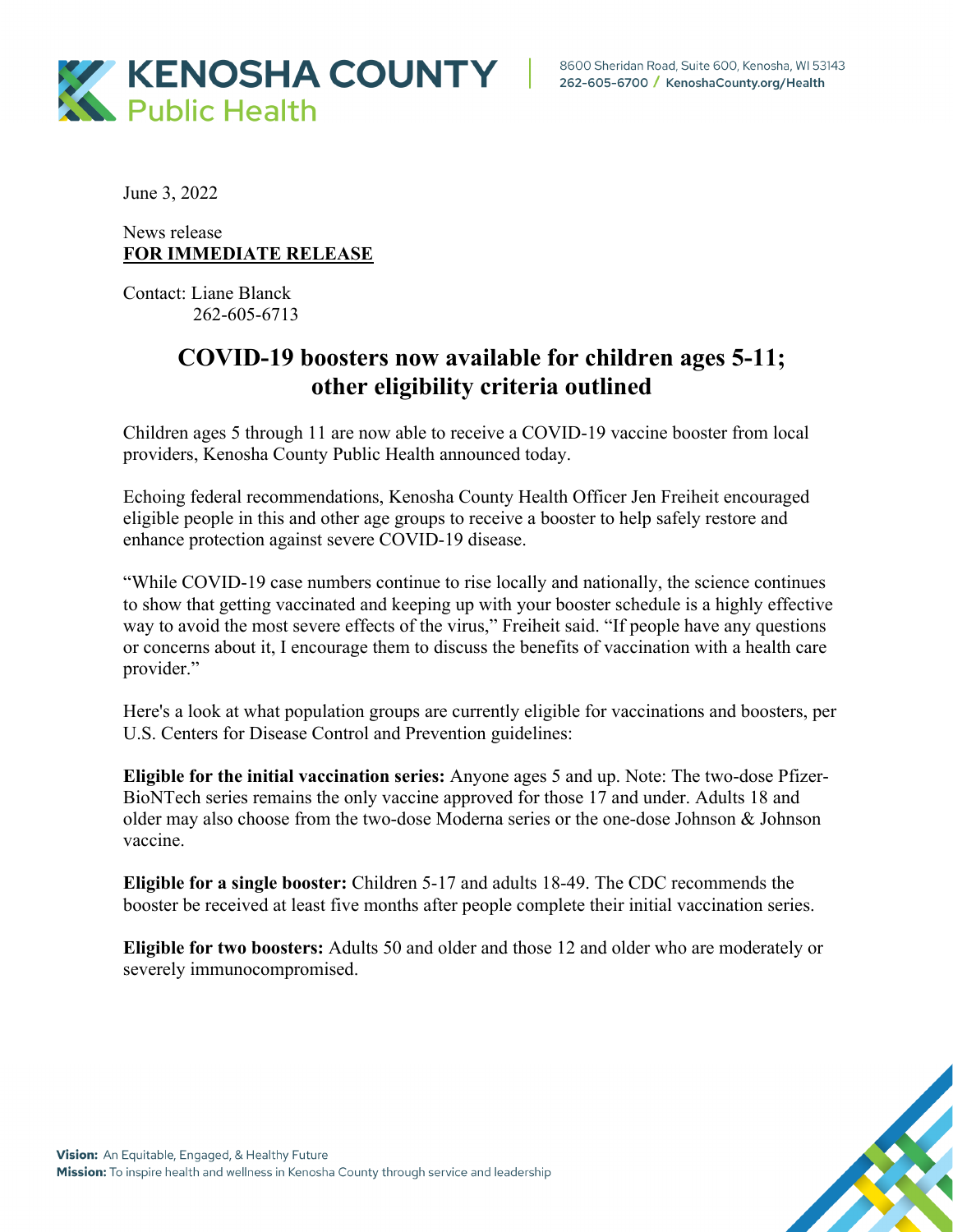

June 3, 2022

News release **FOR IMMEDIATE RELEASE**

Contact: Liane Blanck 262-605-6713

## **COVID-19 boosters now available for children ages 5-11; other eligibility criteria outlined**

Children ages 5 through 11 are now able to receive a COVID-19 vaccine booster from local providers, Kenosha County Public Health announced today.

Echoing federal recommendations, Kenosha County Health Officer Jen Freiheit encouraged eligible people in this and other age groups to receive a booster to help safely restore and enhance protection against severe COVID-19 disease.

"While COVID-19 case numbers continue to rise locally and nationally, the science continues to show that getting vaccinated and keeping up with your booster schedule is a highly effective way to avoid the most severe effects of the virus," Freiheit said. "If people have any questions or concerns about it, I encourage them to discuss the benefits of vaccination with a health care provider."

Here's a look at what population groups are currently eligible for vaccinations and boosters, per U.S. Centers for Disease Control and Prevention guidelines:

**Eligible for the initial vaccination series:** Anyone ages 5 and up. Note: The two-dose Pfizer-BioNTech series remains the only vaccine approved for those 17 and under. Adults 18 and older may also choose from the two-dose Moderna series or the one-dose Johnson & Johnson vaccine.

**Eligible for a single booster:** Children 5-17 and adults 18-49. The CDC recommends the booster be received at least five months after people complete their initial vaccination series.

**Eligible for two boosters:** Adults 50 and older and those 12 and older who are moderately or severely immunocompromised.